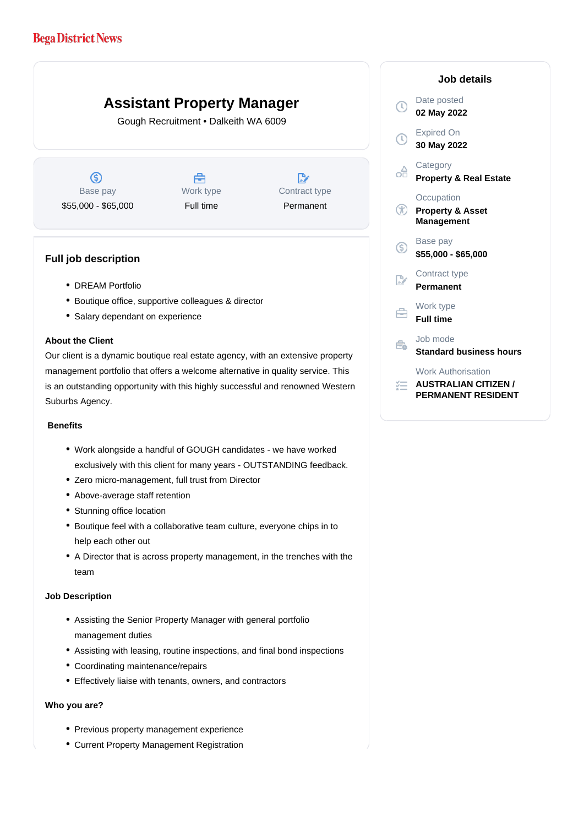# **Bega District News**

# **Assistant Property Manager**

Gough Recruitment • Dalkeith WA 6009

 $\circledS$ Base pay \$55,000 - \$65,000

A Work type Full time

Contract type Permanent

 $\mathbb{R}^n$ 

#### **Full job description**

- DREAM Portfolio
- Boutique office, supportive colleagues & director
- Salary dependant on experience

#### **About the Client**

Our client is a dynamic boutique real estate agency, with an extensive property management portfolio that offers a welcome alternative in quality service. This is an outstanding opportunity with this highly successful and renowned Western Suburbs Agency.

### **Benefits**

- Work alongside a handful of GOUGH candidates we have worked exclusively with this client for many years - OUTSTANDING feedback.
- Zero micro-management, full trust from Director
- Above-average staff retention
- Stunning office location
- Boutique feel with a collaborative team culture, everyone chips in to help each other out
- A Director that is across property management, in the trenches with the team

#### **Job Description**

- Assisting the Senior Property Manager with general portfolio management duties
- Assisting with leasing, routine inspections, and final bond inspections
- Coordinating maintenance/repairs
- Effectively liaise with tenants, owners, and contractors

#### **Who you are?**

- Previous property management experience
- Current Property Management Registration

|                | <b>Job details</b>                                             |
|----------------|----------------------------------------------------------------|
| ➀              | Date posted<br>02 May 2022                                     |
| <b>①</b>       | <b>Expired On</b><br>30 May 2022                               |
| ╬              | Category<br><b>Property &amp; Real Estate</b>                  |
| $^\circledR$   | Occupation<br><b>Property &amp; Asset</b><br><b>Management</b> |
| ⑤              | Base pay<br>\$55,000 - \$65,000                                |
| $\mathbb{R}^n$ | Contract type<br>Permanent                                     |
|                | Work type<br><b>Full time</b>                                  |
|                | Job mode<br><b>Standard business hours</b>                     |
|                | <b>Work Authorisation</b><br><b>AUSTRALIAN CITIZEN /</b>       |

**PERMANENT RESIDENT**